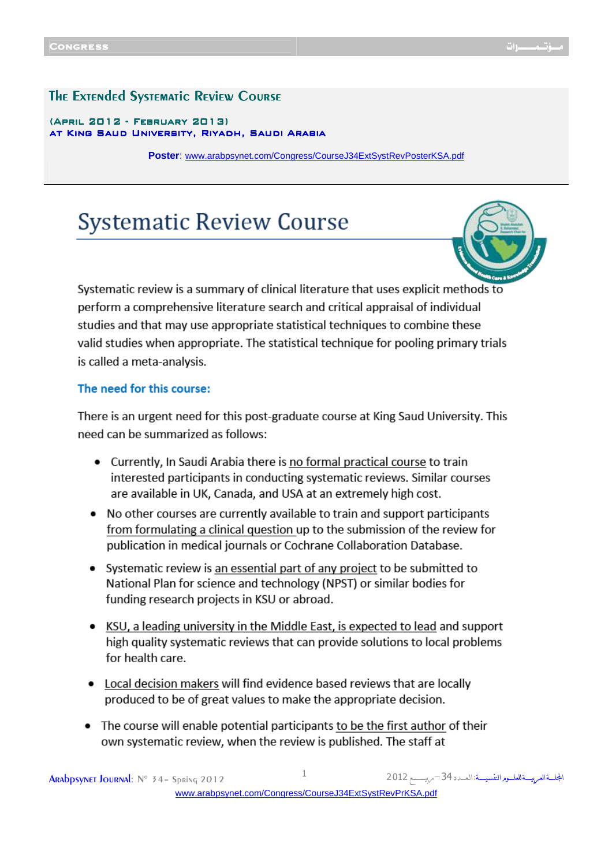#### The Extended Systematic Review Course

#### $(APRIL 2012 - FEBRUARY 2013)$ atKing Saud University, Riyadh, Saudi Arabia King Saud University, Riyadh, Saudi ArabiaKing Riyadh, Saudi Arabia

**Poster**: [www.arabpsynet.com/Congress/CourseJ34ExtSystRevPosterKSA.pdf](www.arabpsynet.com/Congress/CourseJ34ExtSystRevPosterKSA.pdf  )

# **Systematic Review Course**



Systematic review is a summary of clinical literature that uses explicit methods to perform a comprehensive literature search and critical appraisal of individual studies and that may use appropriate statistical techniques to combine these valid studies when appropriate. The statistical technique for pooling primary trials is called a meta-analysis.

#### The need for this course:

There is an urgent need for this post-graduate course at King Saud University. This need can be summarized as follows:

- Currently, In Saudi Arabia there is no formal practical course to train interested participants in conducting systematic reviews. Similar courses are available in UK, Canada, and USA at an extremely high cost.
- No other courses are currently available to train and support participants from formulating a clinical question up to the submission of the review for publication in medical journals or Cochrane Collaboration Database.
- Systematic review is an essential part of any project to be submitted to National Plan for science and technology (NPST) or similar bodies for funding research projects in KSU or abroad.
- KSU, a leading university in the Middle East, is expected to lead and support high quality systematic reviews that can provide solutions to local problems for health care.
- Local decision makers will find evidence based reviews that are locally produced to be of great values to make the appropriate decision.
- The course will enable potential participants to be the first author of their own systematic review, when the review is published. The staff at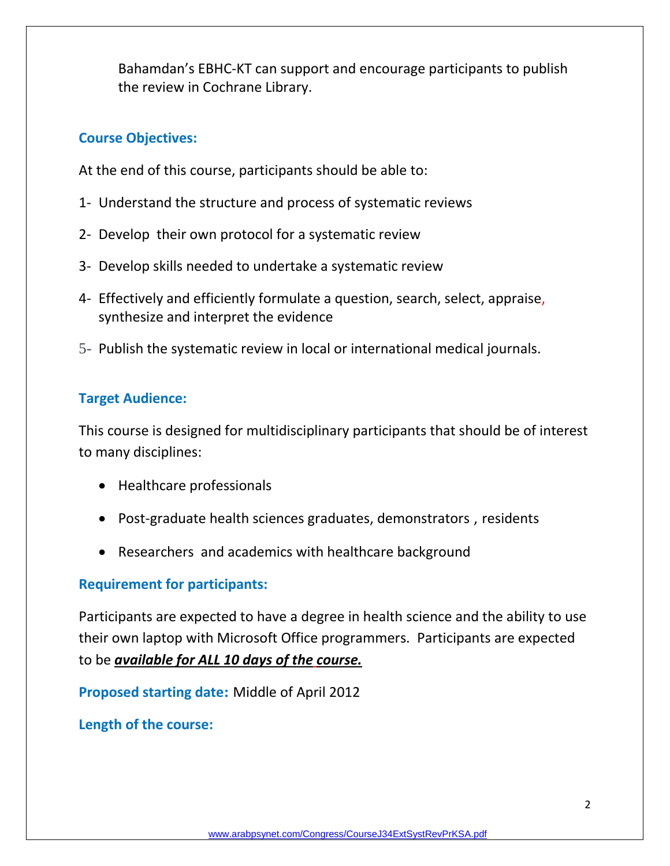Bahamdan's EBHC-KT can support and encourage participants to publish the review in Cochrane Library.

## **Course Objectives:**

At the end of this course, participants should be able to:

- 1- Understand the structure and process of systematic reviews
- 2- Develop their own protocol for a systematic review
- 3- Develop skills needed to undertake a systematic review
- 4- Effectively and efficiently formulate a question, search, select, appraise, synthesize and interpret the evidence
- 5- Publish the systematic review in local or international medical journals.

## **Target Audience:**

This course is designed for multidisciplinary participants that should be of interest to many disciplines:

- Healthcare professionals
- Post-graduate health sciences graduates, demonstrators , residents
- Researchers and academics with healthcare background

## **Requirement for participants:**

Participants are expected to have a degree in health science and the ability to use their own laptop with Microsoft Office programmers. Participants are expected to be *available for ALL 10 days of the course.*

**Proposed starting date:** Middle of April 2012

**Length of the course:**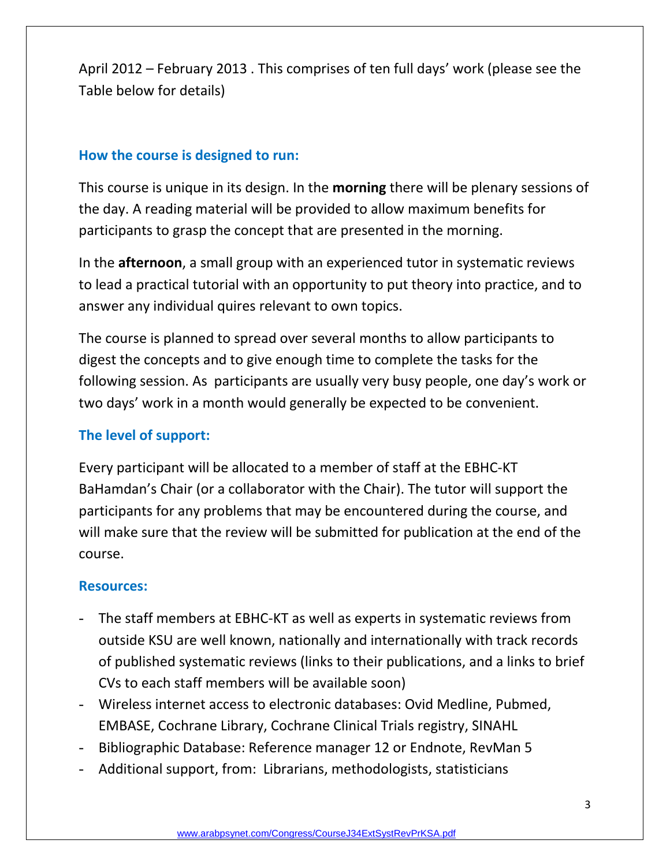April 2012 – February 2013 . This comprises of ten full days' work (please see the Table below for details)

## **How the course is designed to run:**

This course is unique in its design. In the **morning** there will be plenary sessions of the day. A reading material will be provided to allow maximum benefits for participants to grasp the concept that are presented in the morning.

In the **afternoon**, a small group with an experienced tutor in systematic reviews to lead a practical tutorial with an opportunity to put theory into practice, and to answer any individual quires relevant to own topics.

The course is planned to spread over several months to allow participants to digest the concepts and to give enough time to complete the tasks for the following session. As participants are usually very busy people, one day's work or two days' work in a month would generally be expected to be convenient.

## **The level of support:**

Every participant will be allocated to a member of staff at the EBHC-KT BaHamdan's Chair (or a collaborator with the Chair). The tutor will support the participants for any problems that may be encountered during the course, and will make sure that the review will be submitted for publication at the end of the course.

## **Resources:**

- The staff members at EBHC-KT as well as experts in systematic reviews from outside KSU are well known, nationally and internationally with track records of published systematic reviews (links to their publications, and a links to brief CVs to each staff members will be available soon)
- Wireless internet access to electronic databases: Ovid Medline, Pubmed, EMBASE, Cochrane Library, Cochrane Clinical Trials registry, SINAHL
- Bibliographic Database: Reference manager 12 or Endnote, RevMan 5
- Additional support, from: Librarians, methodologists, statisticians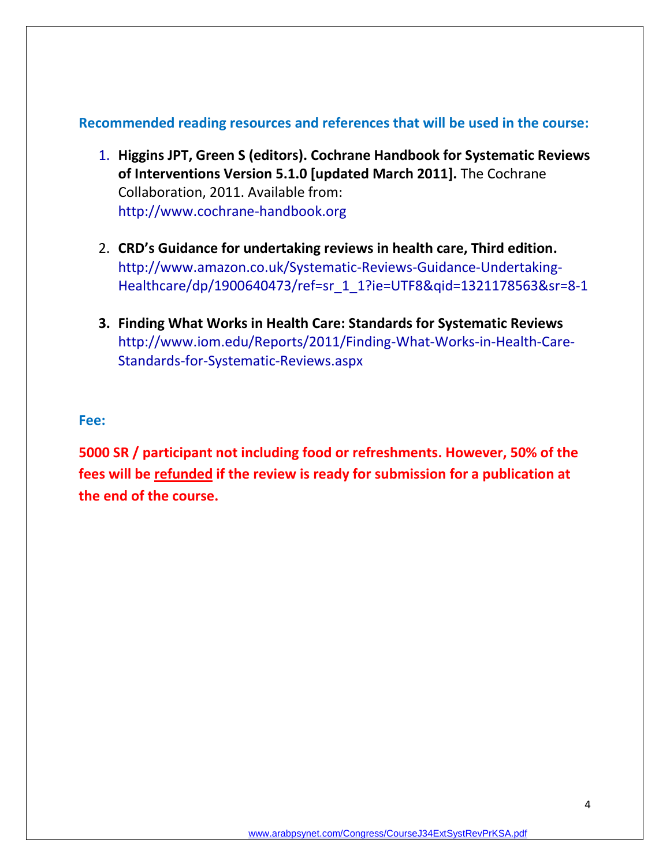#### **Recommended reading resources and references that will be used in the course:**

- 1. **Higgins JPT, Green S (editors). Cochrane Handbook for Systematic Reviews of Interventions Version 5.1.0 [updated March 2011].** The Cochrane Collaboration, 2011. Available from: http:/[/www.cochrane-handbook.org](http://www.cochrane-handbook.org/)
- 2. **CRD's Guidance for undertaking reviews in health care, Third edition.** [http://www.amazon.co.uk/Systematic-Reviews-Guidance-Undertaking-](http://www.amazon.co.uk/Systematic-Reviews-Guidance-Undertaking-Healthcare/dp/1900640473/ref=sr_1_1?ie=UTF8&qid=1321178563&sr=8-1)[Healthcare/dp/1900640473/ref=sr\\_1\\_1?ie=UTF8&qid=1321178563&sr=8-1](http://www.amazon.co.uk/Systematic-Reviews-Guidance-Undertaking-Healthcare/dp/1900640473/ref=sr_1_1?ie=UTF8&qid=1321178563&sr=8-1)
- **3. Finding What Works in Health Care: Standards for Systematic Reviews** http://www.iom.edu/Reports/2011/Finding-What-Works-in-Health-Care-Standards-for-Systematic-Reviews.aspx

#### **Fee:**

**5000 SR / participant not including food or refreshments. However, 50% of the fees will be refunded if the review is ready for submission for a publication at the end of the course.**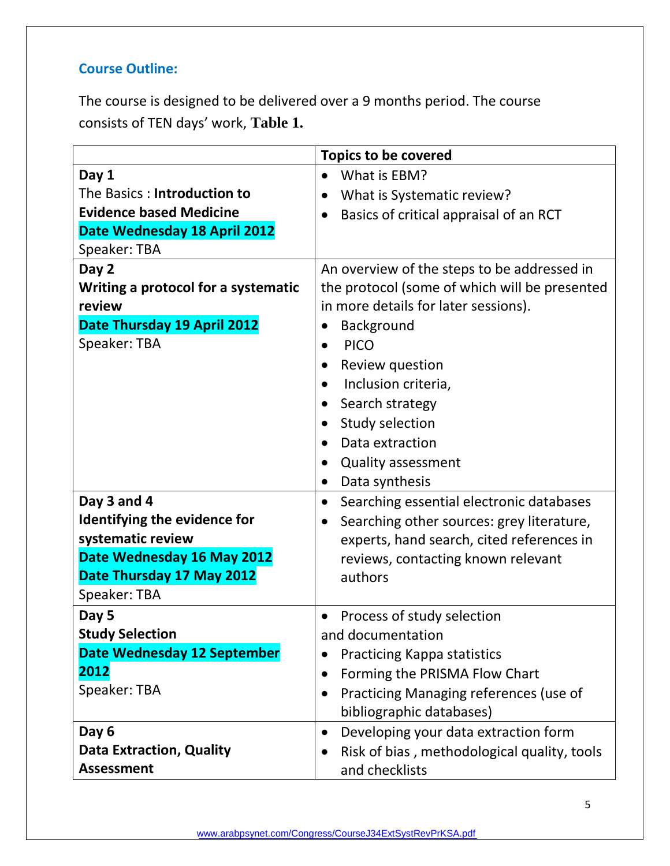# **Course Outline:**

The course is designed to be delivered over a 9 months period. The course consists of TEN days' work, **Table 1.**

|                                     | <b>Topics to be covered</b>                            |
|-------------------------------------|--------------------------------------------------------|
| Day 1                               | What is EBM?<br>$\bullet$                              |
| The Basics: Introduction to         | What is Systematic review?<br>$\bullet$                |
| <b>Evidence based Medicine</b>      | Basics of critical appraisal of an RCT<br>$\bullet$    |
| Date Wednesday 18 April 2012        |                                                        |
| Speaker: TBA                        |                                                        |
| Day 2                               | An overview of the steps to be addressed in            |
| Writing a protocol for a systematic | the protocol (some of which will be presented          |
| review                              | in more details for later sessions).                   |
| Date Thursday 19 April 2012         | Background                                             |
| Speaker: TBA                        | <b>PICO</b>                                            |
|                                     | Review question                                        |
|                                     | Inclusion criteria,<br>$\bullet$                       |
|                                     | Search strategy                                        |
|                                     | Study selection<br>$\bullet$                           |
|                                     | Data extraction                                        |
|                                     | <b>Quality assessment</b><br>$\bullet$                 |
|                                     | Data synthesis<br>$\bullet$                            |
| Day 3 and 4                         | Searching essential electronic databases<br>$\bullet$  |
| Identifying the evidence for        | Searching other sources: grey literature,<br>$\bullet$ |
| systematic review                   | experts, hand search, cited references in              |
| Date Wednesday 16 May 2012          | reviews, contacting known relevant                     |
| Date Thursday 17 May 2012           | authors                                                |
| Speaker: TBA                        |                                                        |
| Day 5                               | Process of study selection                             |
| <b>Study Selection</b>              | and documentation                                      |
| <b>Date Wednesday 12 September</b>  | <b>Practicing Kappa statistics</b>                     |
| 2012                                | Forming the PRISMA Flow Chart<br>$\bullet$             |
| Speaker: TBA                        | Practicing Managing references (use of<br>$\bullet$    |
|                                     | bibliographic databases)                               |
| Day 6                               | Developing your data extraction form<br>$\bullet$      |
| <b>Data Extraction, Quality</b>     | Risk of bias, methodological quality, tools            |
| <b>Assessment</b>                   | and checklists                                         |